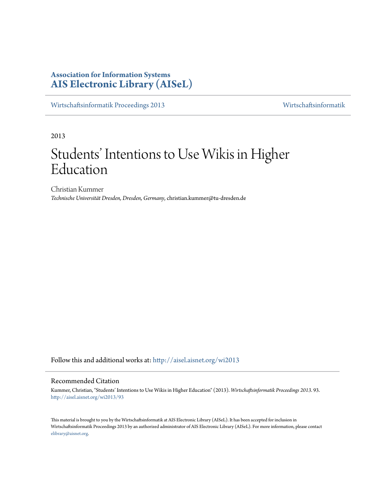# **Association for Information Systems [AIS Electronic Library \(AISeL\)](http://aisel.aisnet.org?utm_source=aisel.aisnet.org%2Fwi2013%2F93&utm_medium=PDF&utm_campaign=PDFCoverPages)**

[Wirtschaftsinformatik Proceedings 2013](http://aisel.aisnet.org/wi2013?utm_source=aisel.aisnet.org%2Fwi2013%2F93&utm_medium=PDF&utm_campaign=PDFCoverPages) [Wirtschaftsinformatik](http://aisel.aisnet.org/wi?utm_source=aisel.aisnet.org%2Fwi2013%2F93&utm_medium=PDF&utm_campaign=PDFCoverPages)

2013

# Students' Intentions to Use Wikis in Higher Education

Christian Kummer *Technische Universität Dresden, Dresden, Germany*, christian.kummer@tu-dresden.de

Follow this and additional works at: [http://aisel.aisnet.org/wi2013](http://aisel.aisnet.org/wi2013?utm_source=aisel.aisnet.org%2Fwi2013%2F93&utm_medium=PDF&utm_campaign=PDFCoverPages)

# Recommended Citation

Kummer, Christian, "Students' Intentions to Use Wikis in Higher Education" (2013). *Wirtschaftsinformatik Proceedings 2013*. 93. [http://aisel.aisnet.org/wi2013/93](http://aisel.aisnet.org/wi2013/93?utm_source=aisel.aisnet.org%2Fwi2013%2F93&utm_medium=PDF&utm_campaign=PDFCoverPages)

This material is brought to you by the Wirtschaftsinformatik at AIS Electronic Library (AISeL). It has been accepted for inclusion in Wirtschaftsinformatik Proceedings 2013 by an authorized administrator of AIS Electronic Library (AISeL). For more information, please contact [elibrary@aisnet.org.](mailto:elibrary@aisnet.org%3E)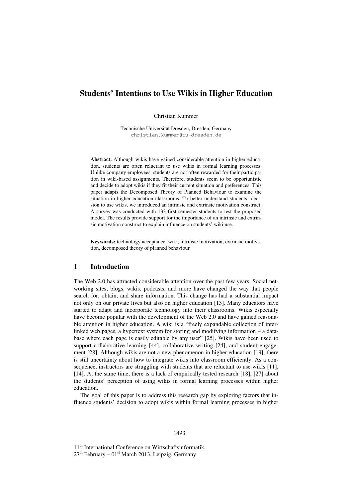# **Students' Intentions to Use Wikis in Higher Education**

Christian Kummer

Technische Universität Dresden, Dresden, Germany christian.kummer@tu-dresden.de

**Abstract.** Although wikis have gained considerable attention in higher education, students are often reluctant to use wikis in formal learning processes. Unlike company employees, students are not often rewarded for their participation in wiki-based assignments. Therefore, students seem to be opportunistic and decide to adopt wikis if they fit their current situation and preferences. This paper adapts the Decomposed Theory of Planned Behaviour to examine the situation in higher education classrooms. To better understand students' decision to use wikis, we introduced an intrinsic and extrinsic motivation construct. A survey was conducted with 133 first semester students to test the proposed model. The results provide support for the importance of an intrinsic and extrinsic motivation construct to explain influence on students' wiki use.

**Keywords:** technology acceptance, wiki, intrinsic motivation, extrinsic motivation, decomposed theory of planned behaviour

#### **1 Introduction**

The Web 2.0 has attracted considerable attention over the past few years. Social networking sites, blogs, wikis, podcasts, and more have changed the way that people search for, obtain, and share information. This change has had a substantial impact not only on our private lives but also on higher education [13]. Many educators have started to adapt and incorporate technology into their classrooms. Wikis especially have become popular with the development of the Web 2.0 and have gained reasonable attention in higher education. A wiki is a "freely expandable collection of interlinked web pages, a hypertext system for storing and modifying information – a database where each page is easily editable by any user" [25]. Wikis have been used to support collaborative learning [44], collaborative writing [24], and student engagement [28]. Although wikis are not a new phenomenon in higher education [19], there is still uncertainty about how to integrate wikis into classroom efficiently. As a consequence, instructors are struggling with students that are reluctant to use wikis [11], [14]. At the same time, there is a lack of empirically tested research [18], [27] about the students' perception of using wikis in formal learning processes within higher education.

The goal of this paper is to address this research gap by exploring factors that influence students' decision to adopt wikis within formal learning processes in higher

11<sup>th</sup> International Conference on Wirtschaftsinformatik,  $27<sup>th</sup>$  February –  $01<sup>st</sup>$  March 2013, Leipzig, Germany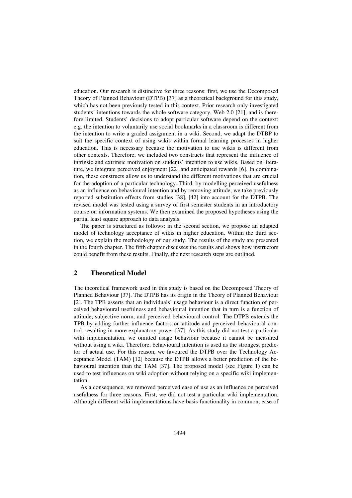education. Our research is distinctive for three reasons: first, we use the Decomposed Theory of Planned Behaviour (DTPB) [37] as a theoretical background for this study, which has not been previously tested in this context. Prior research only investigated students' intentions towards the whole software category, Web 2.0 [21], and is therefore limited. Students' decisions to adopt particular software depend on the context: e.g. the intention to voluntarily use social bookmarks in a classroom is different from the intention to write a graded assignment in a wiki. Second, we adapt the DTBP to suit the specific context of using wikis within formal learning processes in higher education. This is necessary because the motivation to use wikis is different from other contexts. Therefore, we included two constructs that represent the influence of intrinsic and extrinsic motivation on students' intention to use wikis. Based on literature, we integrate perceived enjoyment [22] and anticipated rewards [6]. In combination, these constructs allow us to understand the different motivations that are crucial for the adoption of a particular technology. Third, by modelling perceived usefulness as an influence on behavioural intention and by removing attitude, we take previously reported substitution effects from studies [38], [42] into account for the DTPB. The revised model was tested using a survey of first semester students in an introductory course on information systems. We then examined the proposed hypotheses using the partial least square approach to data analysis.

The paper is structured as follows: in the second section, we propose an adapted model of technology acceptance of wikis in higher education. Within the third section, we explain the methodology of our study. The results of the study are presented in the fourth chapter. The fifth chapter discusses the results and shows how instructors could benefit from these results. Finally, the next research steps are outlined.

# **2 Theoretical Model**

The theoretical framework used in this study is based on the Decomposed Theory of Planned Behaviour [37]. The DTPB has its origin in the Theory of Planned Behaviour [2]. The TPB asserts that an individuals' usage behaviour is a direct function of perceived behavioural usefulness and behavioural intention that in turn is a function of attitude, subjective norm, and perceived behavioural control. The DTPB extends the TPB by adding further influence factors on attitude and perceived behavioural control, resulting in more explanatory power [37]. As this study did not test a particular wiki implementation, we omitted usage behaviour because it cannot be measured without using a wiki. Therefore, behavioural intention is used as the strongest predictor of actual use. For this reason, we favoured the DTPB over the Technology Acceptance Model (TAM) [12] because the DTPB allows a better prediction of the behavioural intention than the TAM [37]. The proposed model (see Figure 1) can be used to test influences on wiki adoption without relying on a specific wiki implementation.

As a consequence, we removed perceived ease of use as an influence on perceived usefulness for three reasons. First, we did not test a particular wiki implementation. Although different wiki implementations have basis functionality in common, ease of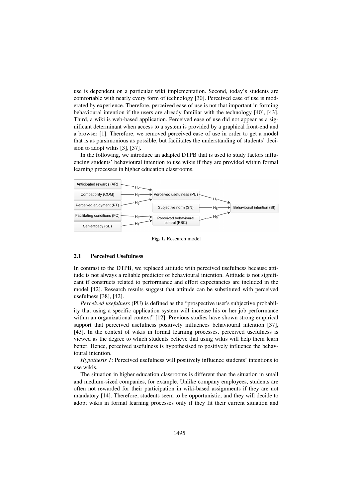use is dependent on a particular wiki implementation. Second, today's students are comfortable with nearly every form of technology [30]. Perceived ease of use is moderated by experience. Therefore, perceived ease of use is not that important in forming behavioural intention if the users are already familiar with the technology [40], [43]. Third, a wiki is web-based application. Perceived ease of use did not appear as a significant determinant when access to a system is provided by a graphical front-end and a browser [1]. Therefore, we removed perceived ease of use in order to get a model that is as parsimonious as possible, but facilitates the understanding of students' decision to adopt wikis [3], [37].

In the following, we introduce an adapted DTPB that is used to study factors influencing students' behavioural intention to use wikis if they are provided within formal learning processes in higher education classrooms.



**Fig. 1.** Research model

#### **2.1 Perceived Usefulness**

In contrast to the DTPB, we replaced attitude with perceived usefulness because attitude is not always a reliable predictor of behavioural intention. Attitude is not significant if constructs related to performance and effort expectancies are included in the model [42]. Research results suggest that attitude can be substituted with perceived usefulness [38], [42].

*Perceived usefulness* (PU) is defined as the "prospective user's subjective probability that using a specific application system will increase his or her job performance within an organizational context" [12]. Previous studies have shown strong empirical support that perceived usefulness positively influences behavioural intention [37], [43]. In the context of wikis in formal learning processes, perceived usefulness is viewed as the degree to which students believe that using wikis will help them learn better. Hence, perceived usefulness is hypothesised to positively influence the behavioural intention.

*Hypothesis 1*: Perceived usefulness will positively influence students' intentions to use wikis.

The situation in higher education classrooms is different than the situation in small and medium-sized companies, for example. Unlike company employees, students are often not rewarded for their participation in wiki-based assignments if they are not mandatory [14]. Therefore, students seem to be opportunistic, and they will decide to adopt wikis in formal learning processes only if they fit their current situation and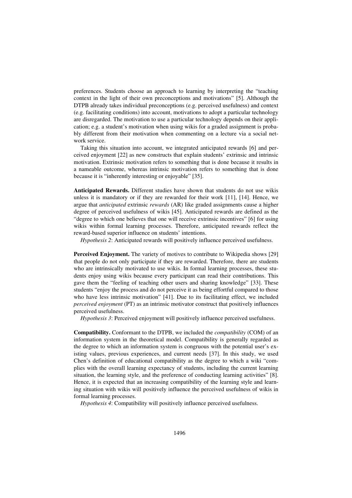preferences. Students choose an approach to learning by interpreting the "teaching context in the light of their own preconceptions and motivations" [5]. Although the DTPB already takes individual preconceptions (e.g. perceived usefulness) and context (e.g. facilitating conditions) into account, motivations to adopt a particular technology are disregarded. The motivation to use a particular technology depends on their application; e.g. a student's motivation when using wikis for a graded assignment is probably different from their motivation when commenting on a lecture via a social network service.

Taking this situation into account, we integrated anticipated rewards [6] and perceived enjoyment [22] as new constructs that explain students' extrinsic and intrinsic motivation. Extrinsic motivation refers to something that is done because it results in a nameable outcome, whereas intrinsic motivation refers to something that is done because it is "inherently interesting or enjoyable" [35].

**Anticipated Rewards.** Different studies have shown that students do not use wikis unless it is mandatory or if they are rewarded for their work [11], [14]. Hence, we argue that *anticipated* extrinsic *rewards* (AR) like graded assignments cause a higher degree of perceived usefulness of wikis [45]. Anticipated rewards are defined as the "degree to which one believes that one will receive extrinsic incentives" [6] for using wikis within formal learning processes. Therefore, anticipated rewards reflect the reward-based superior influence on students' intentions.

*Hypothesis 2*: Anticipated rewards will positively influence perceived usefulness.

**Perceived Enjoyment.** The variety of motives to contribute to Wikipedia shows [29] that people do not only participate if they are rewarded. Therefore, there are students who are intrinsically motivated to use wikis. In formal learning processes, these students enjoy using wikis because every participant can read their contributions. This gave them the "feeling of teaching other users and sharing knowledge" [33]. These students "enjoy the process and do not perceive it as being effortful compared to those who have less intrinsic motivation" [41]. Due to its facilitating effect, we included *perceived enjoyment* (PT) as an intrinsic motivator construct that positively influences perceived usefulness.

*Hypothesis 3*: Perceived enjoyment will positively influence perceived usefulness.

**Compatibility.** Conformant to the DTPB, we included the *compatibility* (COM) of an information system in the theoretical model. Compatibility is generally regarded as the degree to which an information system is congruous with the potential user's existing values, previous experiences, and current needs [37]. In this study, we used Chen's definition of educational compatibility as the degree to which a wiki "complies with the overall learning expectancy of students, including the current learning situation, the learning style, and the preference of conducting learning activities" [8]. Hence, it is expected that an increasing compatibility of the learning style and learning situation with wikis will positively influence the perceived usefulness of wikis in formal learning processes.

*Hypothesis 4*: Compatibility will positively influence perceived usefulness.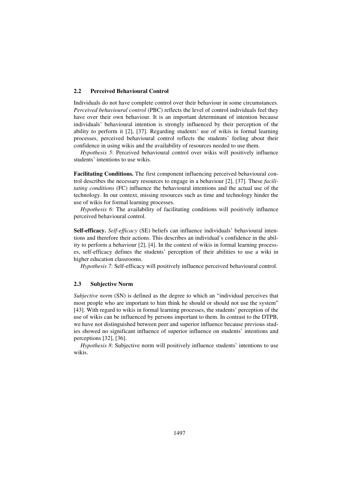#### **2.2 Perceived Behavioural Control**

Individuals do not have complete control over their behaviour in some circumstances. *Perceived behavioural control* (PBC) reflects the level of control individuals feel they have over their own behaviour. It is an important determinant of intention because individuals' behavioural intention is strongly influenced by their perception of the ability to perform it [2], [37]. Regarding students' use of wikis in formal learning processes, perceived behavioural control reflects the students' feeling about their confidence in using wikis and the availability of resources needed to use them.

*Hypothesis 5*: Perceived behavioural control over wikis will positively influence students' intentions to use wikis.

**Facilitating Conditions.** The first component influencing perceived behavioural control describes the necessary resources to engage in a behaviour [2], [37]. These *facilitating conditions* (FC) influence the behavioural intentions and the actual use of the technology. In our context, missing resources such as time and technology hinder the use of wikis for formal learning processes.

*Hypothesis 6*: The availability of facilitating conditions will positively influence perceived behavioural control.

**Self-efficacy.** *Self-efficacy* (SE) beliefs can influence individuals' behavioural intentions and therefore their actions. This describes an individual's confidence in the ability to perform a behaviour [2], [4]. In the context of wikis in formal learning processes, self-efficacy defines the students' perception of their abilities to use a wiki in higher education classrooms.

*Hypothesis 7*: Self-efficacy will positively influence perceived behavioural control.

#### **2.3 Subjective Norm**

*Subjective norm* (SN) is defined as the degree to which an "individual perceives that most people who are important to him think he should or should not use the system" [43]. With regard to wikis in formal learning processes, the students' perception of the use of wikis can be influenced by persons important to them. In contrast to the DTPB, we have not distinguished between peer and superior influence because previous studies showed no significant influence of superior influence on students' intentions and perceptions [32], [36].

*Hypothesis 8*: Subjective norm will positively influence students' intentions to use wikis.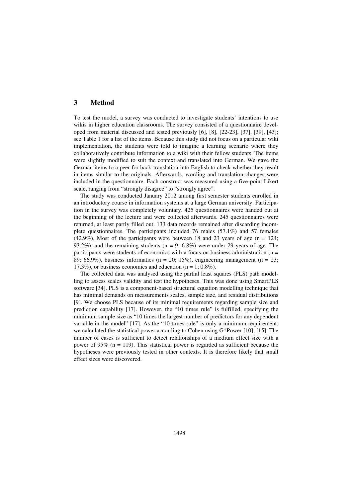# **3 Method**

To test the model, a survey was conducted to investigate students' intentions to use wikis in higher education classrooms. The survey consisted of a questionnaire developed from material discussed and tested previously [6], [8], [22-23], [37], [39], [43]; see Table 1 for a list of the items. Because this study did not focus on a particular wiki implementation, the students were told to imagine a learning scenario where they collaboratively contribute information to a wiki with their fellow students. The items were slightly modified to suit the context and translated into German. We gave the German items to a peer for back-translation into English to check whether they result in items similar to the originals. Afterwards, wording and translation changes were included in the questionnaire. Each construct was measured using a five-point Likert scale, ranging from "strongly disagree" to "strongly agree".

The study was conducted January 2012 among first semester students enrolled in an introductory course in information systems at a large German university. Participation in the survey was completely voluntary. 425 questionnaires were handed out at the beginning of the lecture and were collected afterwards. 245 questionnaires were returned, at least partly filled out. 133 data records remained after discarding incomplete questionnaires. The participants included 76 males (57.1%) and 57 females  $(42.9\%)$ . Most of the participants were between 18 and 23 years of age (n = 124; 93.2%), and the remaining students ( $n = 9$ ; 6.8%) were under 29 years of age. The participants were students of economics with a focus on business administration (n = 89; 66.9%), business informatics ( $n = 20$ ; 15%), engineering management ( $n = 23$ ; 17.3%), or business economics and education ( $n = 1$ ; 0.8%).

The collected data was analysed using the partial least squares (PLS) path modelling to assess scales validity and test the hypotheses. This was done using SmartPLS software [34]. PLS is a component-based structural equation modelling technique that has minimal demands on measurements scales, sample size, and residual distributions [9]. We choose PLS because of its minimal requirements regarding sample size and prediction capability [17]. However, the "10 times rule" is fulfilled, specifying the minimum sample size as "10 times the largest number of predictors for any dependent variable in the model" [17]. As the "10 times rule" is only a minimum requirement, we calculated the statistical power according to Cohen using G\*Power [10], [15]. The number of cases is sufficient to detect relationships of a medium effect size with a power of 95% (n = 119). This statistical power is regarded as sufficient because the hypotheses were previously tested in other contexts. It is therefore likely that small effect sizes were discovered.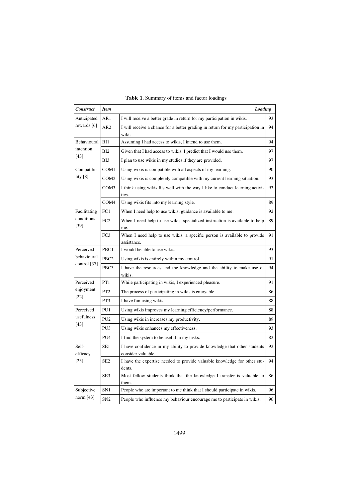| <b>Construct</b>                  | <b>Item</b><br>Loading |                                                                                                |     |  |  |  |
|-----------------------------------|------------------------|------------------------------------------------------------------------------------------------|-----|--|--|--|
| Anticipated                       | AR1                    | I will receive a better grade in return for my participation in wikis.                         |     |  |  |  |
| rewards [6]                       | AR <sub>2</sub>        | I will receive a chance for a better grading in return for my participation in<br>wikis.       |     |  |  |  |
| Behavioural<br>intention<br>[43]  | B <sub>11</sub>        | Assuming I had access to wikis, I intend to use them.                                          |     |  |  |  |
|                                   | BI2                    | Given that I had access to wikis, I predict that I would use them.                             |     |  |  |  |
|                                   | BI3                    | I plan to use wikis in my studies if they are provided.                                        |     |  |  |  |
| Compatibi-<br>lity [8]            | COM1                   | Using wikis is compatible with all aspects of my learning.                                     |     |  |  |  |
|                                   | COM <sub>2</sub>       | Using wikis is completely compatible with my current learning situation.                       |     |  |  |  |
|                                   | COM3                   | I think using wikis fits well with the way I like to conduct learning activi-<br>ties.         |     |  |  |  |
|                                   | COM <sub>4</sub>       | Using wikis fits into my learning style.                                                       | .89 |  |  |  |
| Facilitating                      | FC1                    | When I need help to use wikis, guidance is available to me.                                    | .92 |  |  |  |
| conditions<br>$[39]$              | FC <sub>2</sub>        | When I need help to use wikis, specialized instruction is available to help<br>me.             |     |  |  |  |
|                                   | FC3                    | When I need help to use wikis, a specific person is available to provide<br>assistance.        | .91 |  |  |  |
| Perceived                         | PBC1                   | I would be able to use wikis.                                                                  | .93 |  |  |  |
| behavioural<br>control [37]       | PBC <sub>2</sub>       | Using wikis is entirely within my control.                                                     | .91 |  |  |  |
|                                   | PBC3                   | I have the resources and the knowledge and the ability to make use of<br>wikis.                |     |  |  |  |
| Perceived                         | PT1                    | While participating in wikis, I experienced pleasure.                                          | .91 |  |  |  |
| enjoyment<br>$[22]$               | PT <sub>2</sub>        | The process of participating in wikis is enjoyable.                                            |     |  |  |  |
|                                   | PT3                    | I have fun using wikis.                                                                        |     |  |  |  |
| Perceived<br>usefulness<br>$[43]$ | PU1                    | Using wikis improves my learning efficiency/performance.                                       |     |  |  |  |
|                                   | PU <sub>2</sub>        | Using wikis in increases my productivity.                                                      |     |  |  |  |
|                                   | PU3                    | Using wikis enhances my effectiveness.                                                         |     |  |  |  |
|                                   | PU <sub>4</sub>        | I find the system to be useful in my tasks.                                                    | .82 |  |  |  |
| Self-<br>efficacy<br>$[23]$       | SE1                    | I have confidence in my ability to provide knowledge that other students<br>consider valuable. |     |  |  |  |
|                                   | SE <sub>2</sub>        | I have the expertise needed to provide valuable knowledge for other stu-<br>dents.             | .94 |  |  |  |
|                                   | SE <sub>3</sub>        | Most fellow students think that the knowledge I transfer is valuable to<br>them.               | .86 |  |  |  |
| Subjective                        | SN <sub>1</sub>        | People who are important to me think that I should participate in wikis.                       | .96 |  |  |  |
| norm [43]                         | SN <sub>2</sub>        | People who influence my behaviour encourage me to participate in wikis.                        | .96 |  |  |  |

# **Table 1.** Summary of items and factor loadings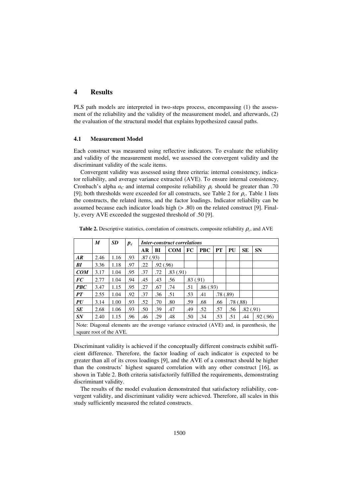# **4 Results**

PLS path models are interpreted in two-steps process, encompassing (1) the assessment of the reliability and the validity of the measurement model, and afterwards, (2) the evaluation of the structural model that explains hypothesized causal paths.

#### **4.1 Measurement Model**

Each construct was measured using reflective indicators. To evaluate the reliability and validity of the measurement model, we assessed the convergent validity and the discriminant validity of the scale items.

Convergent validity was assessed using three criteria: internal consistency, indicator reliability, and average variance extracted (AVE). To ensure internal consistency, Cronbach's alpha  $\alpha_c$  and internal composite reliability  $\rho_c$  should be greater than .70 [9]; both thresholds were exceeded for all constructs, see Table 2 for  $\rho_c$ . Table 1 lists the constructs, the related items, and the factor loadings. Indicator reliability can be assumed because each indicator loads high (> .80) on the related construct [9]. Finally, every AVE exceeded the suggested threshold of .50 [9].

|                                                                                                                      | M    | <b>SD</b> | $p_c$ | <b>Inter-construct correlations</b> |          |            |          |            |          |           |           |           |
|----------------------------------------------------------------------------------------------------------------------|------|-----------|-------|-------------------------------------|----------|------------|----------|------------|----------|-----------|-----------|-----------|
|                                                                                                                      |      |           |       | AR                                  | BI       | <b>COM</b> | FC       | <b>PBC</b> | PT       | <b>PU</b> | <b>SE</b> | <b>SN</b> |
| AR                                                                                                                   | 2.46 | 1.16      | .93   | .87(.93)                            |          |            |          |            |          |           |           |           |
| BI                                                                                                                   | 3.36 | 1.18      | .97   | .22                                 | .92(.96) |            |          |            |          |           |           |           |
| COM                                                                                                                  | 3.17 | 1.04      | .95   | .37                                 | .72      | .83(.91)   |          |            |          |           |           |           |
| <b>FC</b>                                                                                                            | 2.77 | 1.04      | .94   | .45                                 | .43      | .56        | .83(.91) |            |          |           |           |           |
| <b>PBC</b>                                                                                                           | 3.47 | 1.15      | .95   | .27                                 | .67      | .74        | .51      | .86(.93)   |          |           |           |           |
| <b>PT</b>                                                                                                            | 2.55 | 1.04      | .92   | .37                                 | .36      | .51        | .53      | .41        | .78(.89) |           |           |           |
| PU                                                                                                                   | 3.14 | 1.00      | .93   | .52                                 | .70      | .80        | .59      | .68        | .66      | .78(.88)  |           |           |
| <b>SE</b>                                                                                                            | 2.68 | 1.06      | .93   | .50                                 | .39      | .47        | .49      | .52        | .57      | .56       | .82(.91)  |           |
| SN                                                                                                                   | 2.40 | 1.15      | .96   | .46                                 | .29      | .48        | .50      | .34        | .53      | .51       | .44       | .92(.96)  |
| Note: Diagonal elements are the average variance extracted (AVE) and, in parenthesis, the<br>square root of the AVE. |      |           |       |                                     |          |            |          |            |          |           |           |           |

**Table 2.** Descriptive statistics, correlation of constructs, composite reliability  $\rho_c$ , and AVE

Discriminant validity is achieved if the conceptually different constructs exhibit sufficient difference. Therefore, the factor loading of each indicator is expected to be greater than all of its cross loadings [9], and the AVE of a construct should be higher than the constructs' highest squared correlation with any other construct [16], as shown in Table 2. Both criteria satisfactorily fulfilled the requirements, demonstrating discriminant validity.

The results of the model evaluation demonstrated that satisfactory reliability, convergent validity, and discriminant validity were achieved. Therefore, all scales in this study sufficiently measured the related constructs.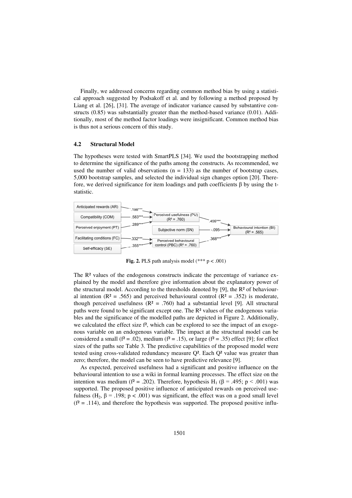Finally, we addressed concerns regarding common method bias by using a statistical approach suggested by Podsakoff et al. and by following a method proposed by Liang et al. [26], [31]. The average of indicator variance caused by substantive constructs (0.85) was substantially greater than the method-based variance (0.01). Additionally, most of the method factor loadings were insignificant. Common method bias is thus not a serious concern of this study.

#### **4.2 Structural Model**

The hypotheses were tested with SmartPLS [34]. We used the bootstrapping method to determine the significance of the paths among the constructs. As recommended, we used the number of valid observations  $(n = 133)$  as the number of bootstrap cases, 5,000 bootstrap samples, and selected the individual sign changes option [20]. Therefore, we derived significance for item loadings and path coefficients  $\beta$  by using the tstatistic.



**Fig. 2.** PLS path analysis model  $(*** p < .001)$ 

The  $R<sup>2</sup>$  values of the endogenous constructs indicate the percentage of variance explained by the model and therefore give information about the explanatory power of the structural model. According to the thresholds denoted by [9], the R² of behavioural intention ( $\mathbb{R}^2 = .565$ ) and perceived behavioural control ( $\mathbb{R}^2 = .352$ ) is moderate, though perceived usefulness ( $R^2 = .760$ ) had a substantial level [9]. All structural paths were found to be significant except one. The R<sup>2</sup> values of the endogenous variables and the significance of the modelled paths are depicted in Figure 2. Additionally, we calculated the effect size  $f^2$ , which can be explored to see the impact of an exogenous variable on an endogenous variable. The impact at the structural model can be considered a small ( $f^2 = .02$ ), medium ( $f^2 = .15$ ), or large ( $f^2 = .35$ ) effect [9]; for effect sizes of the paths see Table 3. The predictive capabilities of the proposed model were tested using cross-validated redundancy measure Q². Each Q² value was greater than zero; therefore, the model can be seen to have predictive relevance [9].

As expected, perceived usefulness had a significant and positive influence on the behavioural intention to use a wiki in formal learning processes. The effect size on the intention was medium ( $f^2 = .202$ ). Therefore, hypothesis H<sub>1</sub> ( $\beta = .495$ ;  $p < .001$ ) was supported. The proposed positive influence of anticipated rewards on perceived usefulness (H<sub>2</sub>,  $\beta$  = .198;  $p < .001$ ) was significant, the effect was on a good small level  $(f^2 = .114)$ , and therefore the hypothesis was supported. The proposed positive influ-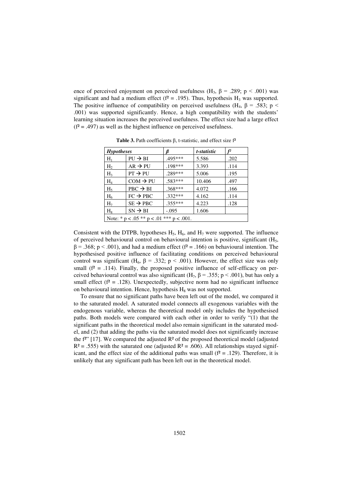ence of perceived enjoyment on perceived usefulness (H<sub>3</sub>,  $\beta$  = .289; p < .001) was significant and had a medium effect ( $f^2 = .195$ ). Thus, hypothesis H<sub>3</sub> was supported. The positive influence of compatibility on perceived usefulness (H<sub>4</sub>,  $\beta$  = .583; p < .001) was supported significantly. Hence, a high compatibility with the students' learning situation increases the perceived usefulness. The effect size had a large effect  $(f^2 = .497)$  as well as the highest influence on perceived usefulness.

| <b>Hypotheses</b>                               |                      |           | t-statistic | f2   |  |  |  |
|-------------------------------------------------|----------------------|-----------|-------------|------|--|--|--|
| $H_1$                                           | $PU \rightarrow BI$  | .495***   | 5.586       | .202 |  |  |  |
| H <sub>2</sub>                                  | $AR \rightarrow PU$  | .198***   | 3.393       | .114 |  |  |  |
| H <sub>3</sub>                                  | $PT \rightarrow PU$  | .289***   | 5.006       | .195 |  |  |  |
| $H_4$                                           | $COM \rightarrow PU$ | .583***   | 10.406      | .497 |  |  |  |
| $H_5$                                           | $PBC \rightarrow BI$ | .368***   | 4.072       | .166 |  |  |  |
| $H_6$                                           | $FC \rightarrow PBC$ | .332***   | 4.162       | .114 |  |  |  |
| H <sub>7</sub>                                  | $SE \rightarrow PBC$ | $.355***$ | 4.223       | .128 |  |  |  |
| $H_8$                                           | $SN \rightarrow BI$  | $-.095$   | 1.606       |      |  |  |  |
| Note: * $p < .05$ ** $p < .01$ *** $p < .001$ . |                      |           |             |      |  |  |  |

Table 3. Path coefficients  $\beta$ , t-statistic, and effect size f<sup>2</sup>

Consistent with the DTPB, hypotheses  $H_5$ ,  $H_6$ , and  $H_7$  were supported. The influence of perceived behavioural control on behavioural intention is positive, significant  $(H<sub>5</sub>)$ ,  $\beta$  = .368; p < .001), and had a medium effect ( $f^2$  = .166) on behavioural intention. The hypothesised positive influence of facilitating conditions on perceived behavioural control was significant (H<sub>6</sub>,  $\beta$  = .332; p < .001). However, the effect size was only small ( $f^2 = .114$ ). Finally, the proposed positive influence of self-efficacy on perceived behavioural control was also significant (H<sub>7</sub>,  $\beta$  = .355; p < .001), but has only a small effect ( $f^2 = .128$ ). Unexpectedly, subjective norm had no significant influence on behavioural intention. Hence, hypothesis  $H_8$  was not supported.

To ensure that no significant paths have been left out of the model, we compared it to the saturated model. A saturated model connects all exogenous variables with the endogenous variable, whereas the theoretical model only includes the hypothesised paths. Both models were compared with each other in order to verify "(1) that the significant paths in the theoretical model also remain significant in the saturated model, and (2) that adding the paths via the saturated model does not significantly increase the  $f^{2}$ " [17]. We compared the adjusted  $R^2$  of the proposed theoretical model (adjusted  $R<sup>2</sup> = .555$ ) with the saturated one (adjusted  $R<sup>2</sup> = .606$ ). All relationships stayed significant, and the effect size of the additional paths was small ( $f^2 = .129$ ). Therefore, it is unlikely that any significant path has been left out in the theoretical model.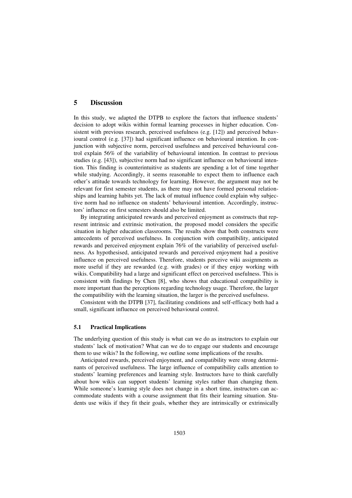# **5 Discussion**

In this study, we adapted the DTPB to explore the factors that influence students' decision to adopt wikis within formal learning processes in higher education. Consistent with previous research, perceived usefulness (e.g. [12]) and perceived behavioural control (e.g. [37]) had significant influence on behavioural intention. In conjunction with subjective norm, perceived usefulness and perceived behavioural control explain 56% of the variability of behavioural intention. In contrast to previous studies (e.g. [43]), subjective norm had no significant influence on behavioural intention. This finding is counterintuitive as students are spending a lot of time together while studying. Accordingly, it seems reasonable to expect them to influence each other's attitude towards technology for learning. However, the argument may not be relevant for first semester students, as there may not have formed personal relationships and learning habits yet. The lack of mutual influence could explain why subjective norm had no influence on students' behavioural intention. Accordingly, instructors' influence on first semesters should also be limited.

By integrating anticipated rewards and perceived enjoyment as constructs that represent intrinsic and extrinsic motivation, the proposed model considers the specific situation in higher education classrooms. The results show that both constructs were antecedents of perceived usefulness. In conjunction with compatibility, anticipated rewards and perceived enjoyment explain 76% of the variability of perceived usefulness. As hypothesised, anticipated rewards and perceived enjoyment had a positive influence on perceived usefulness. Therefore, students perceive wiki assignments as more useful if they are rewarded (e.g. with grades) or if they enjoy working with wikis. Compatibility had a large and significant effect on perceived usefulness. This is consistent with findings by Chen [8], who shows that educational compatibility is more important than the perceptions regarding technology usage. Therefore, the larger the compatibility with the learning situation, the larger is the perceived usefulness.

Consistent with the DTPB [37], facilitating conditions and self-efficacy both had a small, significant influence on perceived behavioural control.

#### **5.1 Practical Implications**

The underlying question of this study is what can we do as instructors to explain our students' lack of motivation? What can we do to engage our students and encourage them to use wikis? In the following, we outline some implications of the results.

Anticipated rewards, perceived enjoyment, and compatibility were strong determinants of perceived usefulness. The large influence of compatibility calls attention to students' learning preferences and learning style. Instructors have to think carefully about how wikis can support students' learning styles rather than changing them. While someone's learning style does not change in a short time, instructors can accommodate students with a course assignment that fits their learning situation. Students use wikis if they fit their goals, whether they are intrinsically or extrinsically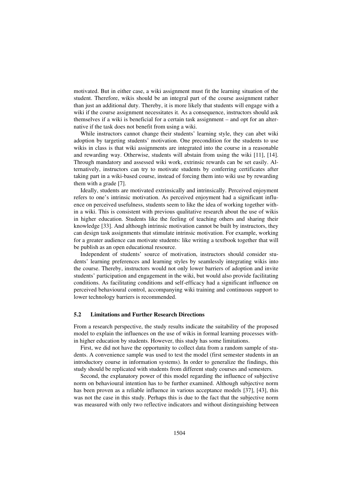motivated. But in either case, a wiki assignment must fit the learning situation of the student. Therefore, wikis should be an integral part of the course assignment rather than just an additional duty. Thereby, it is more likely that students will engage with a wiki if the course assignment necessitates it. As a consequence, instructors should ask themselves if a wiki is beneficial for a certain task assignment – and opt for an alternative if the task does not benefit from using a wiki.

While instructors cannot change their students' learning style, they can abet wiki adoption by targeting students' motivation. One precondition for the students to use wikis in class is that wiki assignments are integrated into the course in a reasonable and rewarding way. Otherwise, students will abstain from using the wiki [11], [14]. Through mandatory and assessed wiki work, extrinsic rewards can be set easily. Alternatively, instructors can try to motivate students by conferring certificates after taking part in a wiki-based course, instead of forcing them into wiki use by rewarding them with a grade [7].

Ideally, students are motivated extrinsically and intrinsically. Perceived enjoyment refers to one's intrinsic motivation. As perceived enjoyment had a significant influence on perceived usefulness, students seem to like the idea of working together within a wiki. This is consistent with previous qualitative research about the use of wikis in higher education. Students like the feeling of teaching others and sharing their knowledge [33]. And although intrinsic motivation cannot be built by instructors, they can design task assignments that stimulate intrinsic motivation. For example, working for a greater audience can motivate students: like writing a textbook together that will be publish as an open educational resource.

Independent of students' source of motivation, instructors should consider students' learning preferences and learning styles by seamlessly integrating wikis into the course. Thereby, instructors would not only lower barriers of adoption and invite students' participation and engagement in the wiki, but would also provide facilitating conditions. As facilitating conditions and self-efficacy had a significant influence on perceived behavioural control, accompanying wiki training and continuous support to lower technology barriers is recommended.

#### **5.2 Limitations and Further Research Directions**

From a research perspective, the study results indicate the suitability of the proposed model to explain the influences on the use of wikis in formal learning processes within higher education by students. However, this study has some limitations.

First, we did not have the opportunity to collect data from a random sample of students. A convenience sample was used to test the model (first semester students in an introductory course in information systems). In order to generalize the findings, this study should be replicated with students from different study courses and semesters.

Second, the explanatory power of this model regarding the influence of subjective norm on behavioural intention has to be further examined. Although subjective norm has been proven as a reliable influence in various acceptance models [37], [43], this was not the case in this study. Perhaps this is due to the fact that the subjective norm was measured with only two reflective indicators and without distinguishing between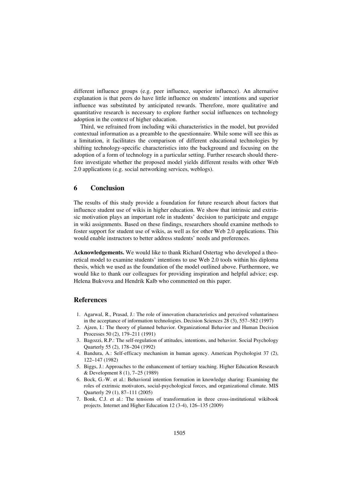different influence groups (e.g. peer influence, superior influence). An alternative explanation is that peers do have little influence on students' intentions and superior influence was substituted by anticipated rewards. Therefore, more qualitative and quantitative research is necessary to explore further social influences on technology adoption in the context of higher education.

Third, we refrained from including wiki characteristics in the model, but provided contextual information as a preamble to the questionnaire. While some will see this as a limitation, it facilitates the comparison of different educational technologies by shifting technology-specific characteristics into the background and focusing on the adoption of a form of technology in a particular setting. Further research should therefore investigate whether the proposed model yields different results with other Web 2.0 applications (e.g. social networking services, weblogs).

### **6 Conclusion**

The results of this study provide a foundation for future research about factors that influence student use of wikis in higher education. We show that intrinsic and extrinsic motivation plays an important role in students' decision to participate and engage in wiki assignments. Based on these findings, researchers should examine methods to foster support for student use of wikis, as well as for other Web 2.0 applications. This would enable instructors to better address students' needs and preferences.

**Acknowledgements.** We would like to thank Richard Ostertag who developed a theoretical model to examine students' intentions to use Web 2.0 tools within his diploma thesis, which we used as the foundation of the model outlined above. Furthermore, we would like to thank our colleagues for providing inspiration and helpful advice; esp. Helena Bukvova and Hendrik Kalb who commented on this paper.

# **References**

- 1. Agarwal, R., Prasad, J.: The role of innovation characteristics and perceived voluntariness in the acceptance of information technologies. Decision Sciences 28 (3), 557–582 (1997)
- 2. Ajzen, I.: The theory of planned behavior. Organizational Behavior and Human Decision Processes 50 (2), 179–211 (1991)
- 3. Bagozzi, R.P.: The self-regulation of attitudes, intentions, and behavior. Social Psychology Quarterly 55 (2), 178–204 (1992)
- 4. Bandura, A.: Self-efficacy mechanism in human agency. American Psychologist 37 (2), 122–147 (1982)
- 5. Biggs, J.: Approaches to the enhancement of tertiary teaching. Higher Education Research & Development 8 (1), 7–25 (1989)
- 6. Bock, G.-W. et al.: Behavioral intention formation in knowledge sharing: Examining the roles of extrinsic motivators, social-psychological forces, and organizational climate. MIS Quarterly 29 (1), 87–111 (2005)
- 7. Bonk, C.J. et al.: The tensions of transformation in three cross-institutional wikibook projects. Internet and Higher Education 12 (3-4), 126–135 (2009)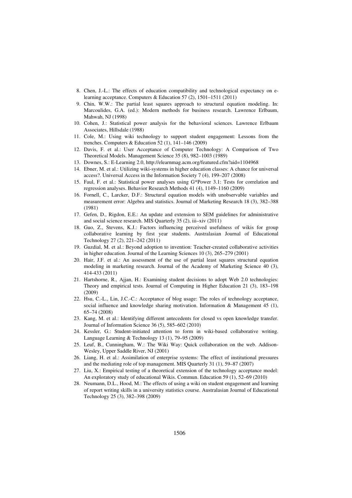- 8. Chen, J.-L.: The effects of education compatibility and technological expectancy on elearning acceptance. Computers & Education 57 (2), 1501–1511 (2011)
- 9. Chin, W.W.: The partial least squares approach to structural equation modeling. In: Marcoulides, G.A. (ed.): Modern methods for business research. Lawrence Erlbaum, Mahwah, NJ (1998)
- 10. Cohen, J.: Statistical power analysis for the behavioral sciences. Lawrence Erlbaum Associates, Hillsdale (1988)
- 11. Cole, M.: Using wiki technology to support student engagement: Lessons from the trenches. Computers & Education 52 (1), 141–146 (2009)
- 12. Davis, F. et al.: User Acceptance of Computer Technology: A Comparison of Two Theoretical Models. Management Science 35 (8), 982–1003 (1989)
- 13. Downes, S.: E-Learning 2.0, http://elearnmag.acm.org/featured.cfm?aid=1104968
- 14. Ebner, M. et al.: Utilizing wiki-systems in higher education classes: A chance for universal access?. Universal Access in the Information Society 7 (4), 199–207 (2008)
- 15. Faul, F. et al.: Statistical power analyses using G\*Power 3.1: Tests for correlation and regression analyses. Behavior Research Methods 41 (4), 1149–1160 (2009)
- 16. Fornell, C., Larcker, D.F.: Structural equation models with unobservable variables and measurement error: Algebra and statistics. Journal of Marketing Research 18 (3), 382–388 (1981)
- 17. Gefen, D., Rigdon, E.E.: An update and extension to SEM guidelines for administrative and social science research. MIS Quarterly 35 (2), iii–xiv (2011)
- 18. Guo, Z., Stevens, K.J.: Factors influencing perceived usefulness of wikis for group collaborative learning by first year students. Australasian Journal of Educational Technology 27 (2), 221–242 (2011)
- 19. Guzdial, M. et al.: Beyond adoption to invention: Teacher-created collaborative activities in higher education. Journal of the Learning Sciences 10 (3), 265–279 (2001)
- 20. Hair, J.F. et al.: An assessment of the use of partial least squares structural equation modeling in marketing research. Journal of the Academy of Marketing Science 40 (3), 414-433 (2011)
- 21. Hartshorne, R., Ajjan, H.: Examining student decisions to adopt Web 2.0 technologies: Theory and empirical tests. Journal of Computing in Higher Education 21 (3), 183–198 (2009)
- 22. Hsu, C.-L., Lin, J.C.-C.: Acceptance of blog usage: The roles of technology acceptance, social influence and knowledge sharing motivation. Information & Management 45 (1), 65–74 (2008)
- 23. Kang, M. et al.: Identifying different antecedents for closed vs open knowledge transfer. Journal of Information Science 36 (5), 585–602 (2010)
- 24. Kessler, G.: Student-initiated attention to form in wiki-based collaborative writing. Language Learning & Technology 13 (1), 79–95 (2009)
- 25. Leuf, B., Cunningham, W.: The Wiki Way: Quick collaboration on the web. Addison-Wesley, Upper Saddle River, NJ (2001)
- 26. Liang, H. et al.: Assimilation of enterprise systems: The effect of institutional pressures and the mediating role of top management. MIS Quarterly 31 (1), 59–87 (2007)
- 27. Liu, X.: Empirical testing of a theoretical extension of the technology acceptance model: An exploratory study of educational Wikis. Commun. Education 59 (1), 52–69 (2010)
- 28. Neumann, D.L., Hood, M.: The effects of using a wiki on student engagement and learning of report writing skills in a university statistics course. Australasian Journal of Educational Technology 25 (3), 382–398 (2009)